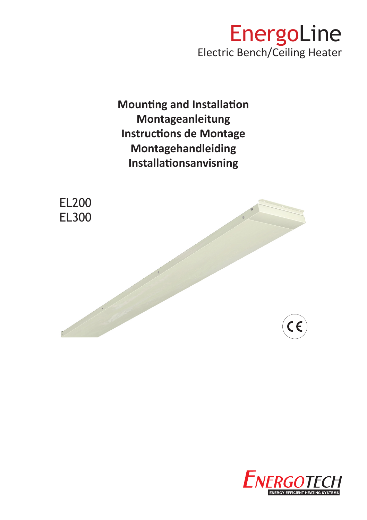

**Mounting and Installation Montageanleitung Instructions de Montage Montagehandleiding Installationsanvisning**



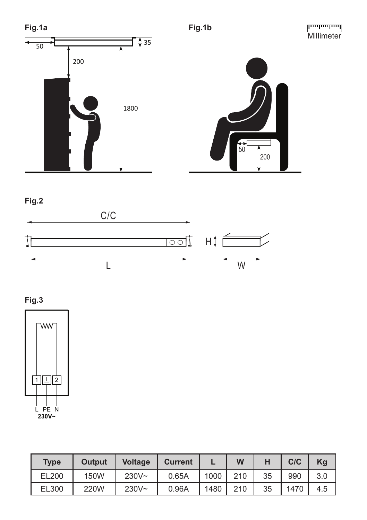





**Fig.3**



| <b>Type</b> | <b>Output</b> | <b>Voltage</b> | <b>Current</b> |      | W   | н  | C/C  | Kg  |
|-------------|---------------|----------------|----------------|------|-----|----|------|-----|
| EL200       | 150W          | $230V -$       | 0.65A          | 1000 | 210 | 35 | 990  | 3.0 |
| EL300       | 220W          | $230V -$       | 0.96A          | 1480 | 210 | 35 | 1470 | 4.5 |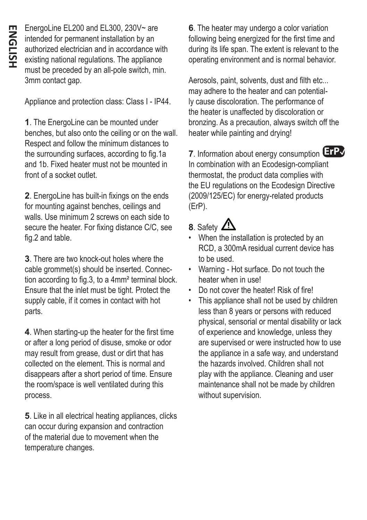EnergoLine EL200 and EL300, 230V~ are intended for permanent installation by an authorized electrician and in accordance with existing national regulations. The appliance must be preceded by an all-pole switch, min. 3mm contact gap.

Appliance and protection class: Class I - IP44.

**1**. The EnergoLine can be mounted under benches, but also onto the ceiling or on the wall. Respect and follow the minimum distances to the surrounding surfaces, according to fig.1a and 1b. Fixed heater must not be mounted in front of a socket outlet.

**2**. EnergoLine has built-in fixings on the ends for mounting against benches, ceilings and walls. Use minimum 2 screws on each side to secure the heater. For fixing distance C/C, see fig.2 and table.

**3**. There are two knock-out holes where the cable grommet(s) should be inserted. Connection according to fig.3, to a 4mm² terminal block. Ensure that the inlet must be tight. Protect the supply cable, if it comes in contact with hot parts.

**4**. When starting-up the heater for the first time or after a long period of disuse, smoke or odor may result from grease, dust or dirt that has collected on the element. This is normal and disappears after a short period of time. Ensure the room/space is well ventilated during this process.

**5**. Like in all electrical heating appliances, clicks can occur during expansion and contraction of the material due to movement when the temperature changes.

**6**. The heater may undergo a color variation following being energized for the first time and during its life span. The extent is relevant to the operating environment and is normal behavior.

Aerosols, paint, solvents, dust and filth etc... may adhere to the heater and can potentially cause discoloration. The performance of the heater is unaffected by discoloration or bronzing. As a precaution, always switch off the heater while painting and drying!

**7**. Information about energy consumption **ErP**✔In combination with an Ecodesign-compliant thermostat, the product data complies with the EU regulations on the Ecodesign Directive (2009/125/EC) for energy-related products (ErP).

## 8. Safety  $\Delta$

- When the installation is protected by an RCD, a 300mA residual current device has to be used.
- Warning Hot surface. Do not touch the heater when in use!
- Do not cover the heater! Risk of fire!
- This appliance shall not be used by children less than 8 years or persons with reduced physical, sensorial or mental disability or lack of experience and knowledge, unless they are supervised or were instructed how to use the appliance in a safe way, and understand the hazards involved. Children shall not play with the appliance. Cleaning and user maintenance shall not be made by children without supervision.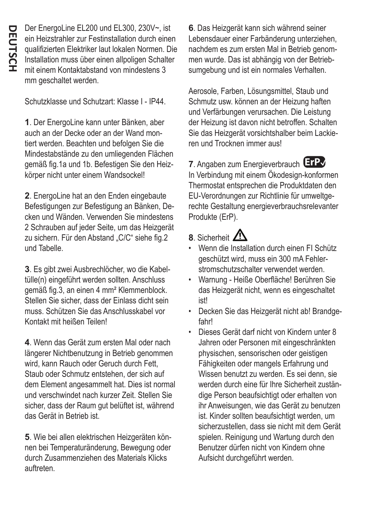Der EnergoLine EL200 und EL300, 230V~, ist ein Heizstrahler zur Festinstallation durch einen qualifizierten Elektriker laut lokalen Normen. Die Installation muss über einen allpoligen Schalter mit einem Kontaktabstand von mindestens 3 mm geschaltet werden.

Schutzklasse und Schutzart: Klasse I - IP44.

**1**. Der EnergoLine kann unter Bänken, aber auch an der Decke oder an der Wand montiert werden. Beachten und befolgen Sie die Mindestabstände zu den umliegenden Flächen gemäß fig.1a und 1b. Befestigen Sie den Heizkörper nicht unter einem Wandsockel!

**2**. EnergoLine hat an den Enden eingebaute Befestigungen zur Befestigung an Bänken, Decken und Wänden. Verwenden Sie mindestens 2 Schrauben auf jeder Seite, um das Heizgerät zu sichern. Für den Abstand "C/C" siehe fig.2 und Tabelle.

**3**. Es gibt zwei Ausbrechlöcher, wo die Kabeltülle(n) eingeführt werden sollten. Anschluss gemäß fig.3, an einen 4 mm² Klemmenblock. Stellen Sie sicher, dass der Einlass dicht sein muss. Schützen Sie das Anschlusskabel vor Kontakt mit heißen Teilen!

**4**. Wenn das Gerät zum ersten Mal oder nach längerer Nichtbenutzung in Betrieb genommen wird, kann Rauch oder Geruch durch Fett, Staub oder Schmutz entstehen, der sich auf dem Element angesammelt hat. Dies ist normal und verschwindet nach kurzer Zeit. Stellen Sie sicher, dass der Raum gut belüftet ist, während das Gerät in Betrieb ist.

**5**. Wie bei allen elektrischen Heizgeräten können bei Temperaturänderung, Bewegung oder durch Zusammenziehen des Materials Klicks auftreten.

**6**. Das Heizgerät kann sich während seiner Lebensdauer einer Farbänderung unterziehen, nachdem es zum ersten Mal in Betrieb genommen wurde. Das ist abhängig von der Betriebsumgebung und ist ein normales Verhalten.

Aerosole, Farben, Lösungsmittel, Staub und Schmutz usw. können an der Heizung haften und Verfärbungen verursachen. Die Leistung der Heizung ist davon nicht betroffen. Schalten Sie das Heizgerät vorsichtshalber beim Lackieren und Trocknen immer aus!

**7**. Angaben zum Energieverbrauch **ErP**✔In Verbindung mit einem Ökodesign-konformen Thermostat entsprechen die Produktdaten den EU-Verordnungen zur Richtlinie für umweltgerechte Gestaltung energieverbrauchsrelevanter Produkte (ErP).

## 8. Sicherheit  $\mathbf{\Lambda}$

- Wenn die Installation durch einen FI Schütz geschützt wird, muss ein 300 mA Fehlerstromschutzschalter verwendet werden.
- Warnung Heiße Oberfläche! Berühren Sie das Heizgerät nicht, wenn es eingeschaltet ist!
- Decken Sie das Heizgerät nicht ab! Brandgefahr!
- Dieses Gerät darf nicht von Kindern unter 8 Jahren oder Personen mit eingeschränkten physischen, sensorischen oder geistigen Fähigkeiten oder mangels Erfahrung und Wissen benutzt zu werden. Es sei denn, sie werden durch eine für Ihre Sicherheit zuständige Person beaufsichtigt oder erhalten von ihr Anweisungen, wie das Gerät zu benutzen ist. Kinder sollten beaufsichtigt werden, um sicherzustellen, dass sie nicht mit dem Gerät spielen. Reinigung und Wartung durch den Benutzer dürfen nicht von Kindern ohne Aufsicht durchgeführt werden.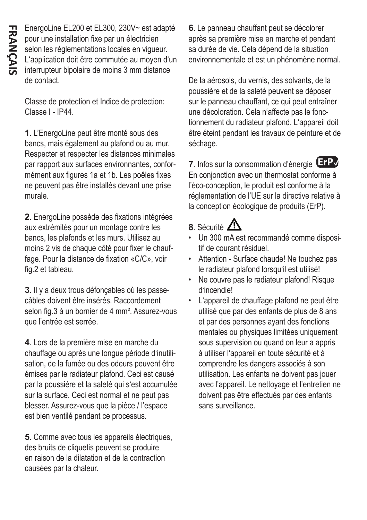EnergoLine EL200 et EL300, 230V~ est adapté pour une installation fixe par un électricien selon les réglementations locales en vigueur. L'application doit être commutée au moyen d'un interrupteur bipolaire de moins 3 mm distance de contact.

Classe de protection et Indice de protection: Classe I - IP44.

**1**. L'EnergoLine peut être monté sous des bancs, mais également au plafond ou au mur. Respecter et respecter les distances minimales par rapport aux surfaces environnantes, conformément aux figures 1a et 1b. Les poêles fixes ne peuvent pas être installés devant une prise murale.

**2**. EnergoLine possède des fixations intégrées aux extrémités pour un montage contre les bancs, les plafonds et les murs. Utilisez au moins 2 vis de chaque côté pour fixer le chauffage. Pour la distance de fixation «C/C», voir fig.2 et tableau.

**3**. Il y a deux trous défonçables où les passecâbles doivent être insérés. Raccordement selon fig.3 à un bornier de 4 mm². Assurez-vous que l'entrée est serrée.

**4**. Lors de la première mise en marche du chauffage ou après une longue période d'inutilisation, de la fumée ou des odeurs peuvent être émises par le radiateur plafond. Ceci est causé par la poussière et la saleté qui s'est accumulée sur la surface. Ceci est normal et ne peut pas blesser. Assurez-vous que la pièce / l'espace est bien ventilé pendant ce processus.

**5**. Comme avec tous les appareils électriques, des bruits de cliquetis peuvent se produire en raison de la dilatation et de la contraction causées par la chaleur.

**6**. Le panneau chauffant peut se décolorer après sa première mise en marche et pendant sa durée de vie. Cela dépend de la situation environnementale et est un phénomène normal.

De la aérosols, du vernis, des solvants, de la poussière et de la saleté peuvent se déposer sur le panneau chauffant, ce qui peut entraîner une décoloration. Cela n'affecte pas le fonctionnement du radiateur plafond. L'appareil doit être éteint pendant les travaux de peinture et de séchage.

**7**. Infos sur la consommation d'énergie **ErP**✔En conjonction avec un thermostat conforme à l'éco-conception, le produit est conforme à la réglementation de l'UE sur la directive relative à la conception écologique de produits (ErP).

## 8. Sécurité **41**

- Un 300 mA est recommandé comme dispositif de courant résiduel.
- Attention Surface chaude! Ne touchez pas le radiateur plafond lorsqu'il est utilisé!
- Ne couvre pas le radiateur plafond! Risque d'incendie!
- L'appareil de chauffage plafond ne peut être utilisé que par des enfants de plus de 8 ans et par des personnes ayant des fonctions mentales ou physiques limitées uniquement sous supervision ou quand on leur a appris à utiliser l'appareil en toute sécurité et à comprendre les dangers associés à son utilisation. Les enfants ne doivent pas jouer avec l'appareil. Le nettoyage et l'entretien ne doivent pas être effectués par des enfants sans surveillance.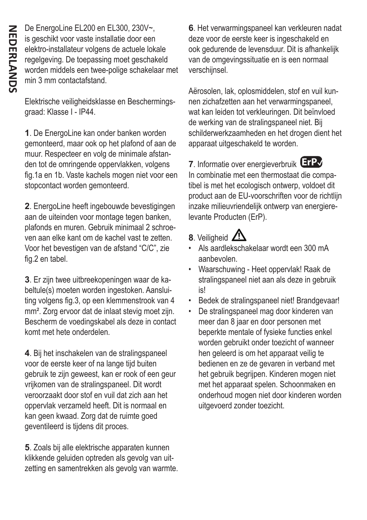De EnergoLine EL200 en EL300, 230V~, is geschikt voor vaste installatie door een elektro-installateur volgens de actuele lokale regelgeving. De toepassing moet geschakeld worden middels een twee-polige schakelaar met min 3 mm contactafstand.

Elektrische veiligheidsklasse en Beschermingsgraad: Klasse I - IP44.

**1**. De EnergoLine kan onder banken worden gemonteerd, maar ook op het plafond of aan de muur. Respecteer en volg de minimale afstanden tot de omringende oppervlakken, volgens fig.1a en 1b. Vaste kachels mogen niet voor een stopcontact worden gemonteerd.

**2**. EnergoLine heeft ingebouwde bevestigingen aan de uiteinden voor montage tegen banken, plafonds en muren. Gebruik minimaal 2 schroeven aan elke kant om de kachel vast te zetten. Voor het bevestigen van de afstand "C/C", zie fig.2 en tabel.

**3**. Er zijn twee uitbreekopeningen waar de kabeltule(s) moeten worden ingestoken. Aansluiting volgens fig.3, op een klemmenstrook van 4 mm². Zorg ervoor dat de inlaat stevig moet zijn. Bescherm de voedingskabel als deze in contact komt met hete onderdelen.

**4**. Bij het inschakelen van de stralingspaneel voor de eerste keer of na lange tijd buiten gebruik te zijn geweest, kan er rook of een geur vrijkomen van de stralingspaneel. Dit wordt veroorzaakt door stof en vuil dat zich aan het oppervlak verzameld heeft. Dit is normaal en kan geen kwaad. Zorg dat de ruimte goed geventileerd is tijdens dit proces.

**5**. Zoals bij alle elektrische apparaten kunnen klikkende geluiden optreden als gevolg van uitzetting en samentrekken als gevolg van warmte.

**6**. Het verwarmingspaneel kan verkleuren nadat deze voor de eerste keer is ingeschakeld en ook gedurende de levensduur. Dit is afhankelijk van de omgevingssituatie en is een normaal verschijnsel.

Aërosolen, lak, oplosmiddelen, stof en vuil kunnen zichafzetten aan het verwarmingspaneel, wat kan leiden tot verkleuringen. Dit beïnvloed de werking van de stralingspaneel niet. Bij schilderwerkzaamheden en het drogen dient het apparaat uitgeschakeld te worden.

**7**. Informatie over energieverbruik **ErP**✔In combinatie met een thermostaat die compatibel is met het ecologisch ontwerp, voldoet dit product aan de EU-voorschriften voor de richtlijn inzake milieuvriendelijk ontwerp van energierelevante Producten (ErP).

## 8. Veiligheid  $\mathbb{Z}^n$

- Als aardlekschakelaar wordt een 300 mA aanbevolen.
- Waarschuwing Heet oppervlak! Raak de stralingspaneel niet aan als deze in gebruik is!
- Bedek de stralingspaneel niet! Brandgevaar!
- De stralingspaneel mag door kinderen van meer dan 8 jaar en door personen met beperkte mentale of fysieke functies enkel worden gebruikt onder toezicht of wanneer hen geleerd is om het apparaat veilig te bedienen en ze de gevaren in verband met het gebruik begrijpen. Kinderen mogen niet met het apparaat spelen. Schoonmaken en onderhoud mogen niet door kinderen worden uitgevoerd zonder toezicht.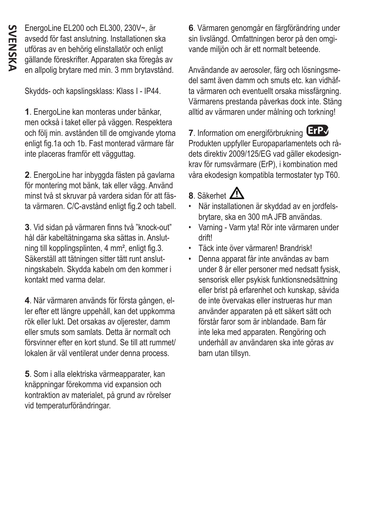EnergoLine EL200 och EL300, 230V~, är avsedd för fast anslutning. Installationen ska utföras av en behörig elinstallatör och enligt gällande föreskrifter. Apparaten ska föregås av en allpolig brytare med min. 3 mm brytavstånd.

Skydds- och kapslingsklass: Klass I - IP44.

**1**. EnergoLine kan monteras under bänkar, men också i taket eller på väggen. Respektera och följ min. avstånden till de omgivande ytorna enligt fig.1a och 1b. Fast monterad värmare får inte placeras framför ett vägguttag.

**2**. EnergoLine har inbyggda fästen på gavlarna för montering mot bänk, tak eller vägg. Använd minst två st skruvar på vardera sidan för att fästa värmaren. C/C-avstånd enligt fig.2 och tabell.

**3**. Vid sidan på värmaren finns två "knock-out" hål där kabeltätningarna ska sättas in. Anslutning till kopplingsplinten, 4 mm², enligt fig.3. Säkerställ att tätningen sitter tätt runt anslutningskabeln. Skydda kabeln om den kommer i kontakt med varma delar.

**4**. När värmaren används för första gången, eller efter ett längre uppehåll, kan det uppkomma rök eller lukt. Det orsakas av oljerester, damm eller smuts som samlats. Detta är normalt och försvinner efter en kort stund. Se till att rummet/ lokalen är väl ventilerat under denna process.

**5**. Som i alla elektriska värmeapparater, kan knäppningar förekomma vid expansion och kontraktion av materialet, på grund av rörelser vid temperaturförändringar.

**6**. Värmaren genomgår en färgförändring under sin livslängd. Omfattningen beror på den omgivande miljön och är ett normalt beteende.

Användande av aerosoler, färg och lösningsmedel samt även damm och smuts etc. kan vidhäfta värmaren och eventuellt orsaka missfärgning. Värmarens prestanda påverkas dock inte. Stäng alltid av värmaren under målning och torkning!

**7**. Information om energiförbrukning **ErP**✔Produkten uppfyller Europaparlamentets och rådets direktiv 2009/125/EG vad gäller ekodesignkrav för rumsvärmare (ErP), i kombination med våra ekodesign kompatibla termostater typ T60.

- 8. Säkerhet  $\mathbf{A}$
- När installationen är skyddad av en jordfelsbrytare, ska en 300 mA JFB användas.
- Varning Varm yta! Rör inte värmaren under drift!
- Täck inte över värmaren! Brandrisk!
- Denna apparat får inte användas av barn under 8 år eller personer med nedsatt fysisk, sensorisk eller psykisk funktionsnedsättning eller brist på erfarenhet och kunskap, såvida de inte övervakas eller instrueras hur man använder apparaten på ett säkert sätt och förstår faror som är inblandade. Barn får inte leka med apparaten. Rengöring och underhåll av användaren ska inte göras av barn utan tillsyn.